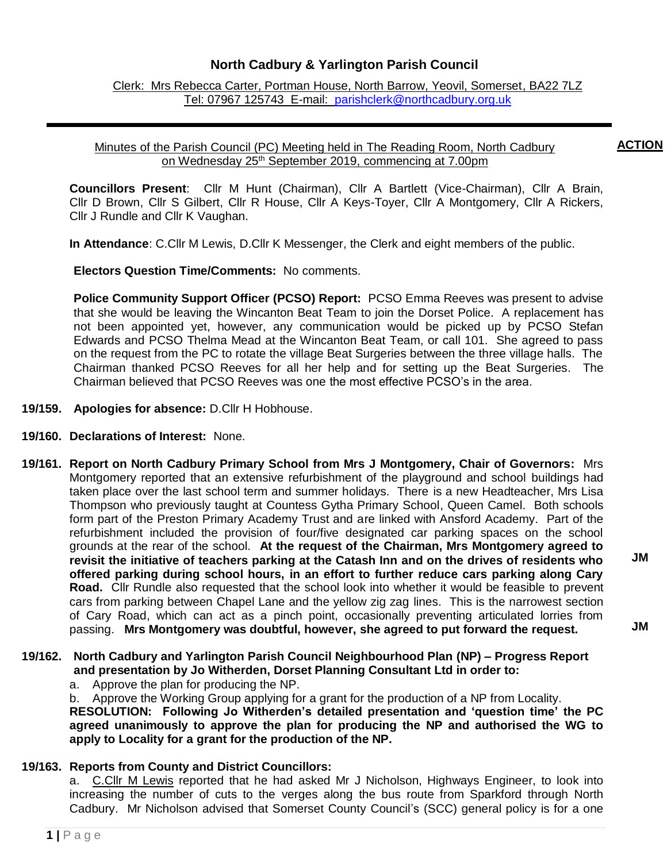# **North Cadbury & Yarlington Parish Council**

Clerk: Mrs Rebecca Carter, Portman House, North Barrow, Yeovil, Somerset, BA22 7LZ Tel: 07967 125743 E-mail: [parishclerk@northcadbury.org.uk](mailto:parishclerk@northcadbury.org.uk)

### Minutes of the Parish Council (PC) Meeting held in The Reading Room, North Cadbury on Wednesday 25<sup>th</sup> September 2019, commencing at 7.00pm

**Councillors Present**: Cllr M Hunt (Chairman), Cllr A Bartlett (Vice-Chairman), Cllr A Brain, Cllr D Brown, Cllr S Gilbert, Cllr R House, Cllr A Keys-Toyer, Cllr A Montgomery, Cllr A Rickers, Cllr J Rundle and Cllr K Vaughan.

**In Attendance**: C.Cllr M Lewis, D.Cllr K Messenger, the Clerk and eight members of the public.

**Electors Question Time/Comments:** No comments.

**Police Community Support Officer (PCSO) Report:** PCSO Emma Reeves was present to advise that she would be leaving the Wincanton Beat Team to join the Dorset Police. A replacement has not been appointed yet, however, any communication would be picked up by PCSO Stefan Edwards and PCSO Thelma Mead at the Wincanton Beat Team, or call 101. She agreed to pass on the request from the PC to rotate the village Beat Surgeries between the three village halls. The Chairman thanked PCSO Reeves for all her help and for setting up the Beat Surgeries. The Chairman believed that PCSO Reeves was one the most effective PCSO's in the area.

- **19/159. Apologies for absence:** D.Cllr H Hobhouse.
- **19/160. Declarations of Interest:** None.
- **19/161. Report on North Cadbury Primary School from Mrs J Montgomery, Chair of Governors:** Mrs Montgomery reported that an extensive refurbishment of the playground and school buildings had taken place over the last school term and summer holidays. There is a new Headteacher, Mrs Lisa Thompson who previously taught at Countess Gytha Primary School, Queen Camel. Both schools form part of the Preston Primary Academy Trust and are linked with Ansford Academy. Part of the refurbishment included the provision of four/five designated car parking spaces on the school grounds at the rear of the school. **At the request of the Chairman, Mrs Montgomery agreed to revisit the initiative of teachers parking at the Catash Inn and on the drives of residents who offered parking during school hours, in an effort to further reduce cars parking along Cary Road.** Cllr Rundle also requested that the school look into whether it would be feasible to prevent cars from parking between Chapel Lane and the yellow zig zag lines. This is the narrowest section of Cary Road, which can act as a pinch point, occasionally preventing articulated lorries from passing. **Mrs Montgomery was doubtful, however, she agreed to put forward the request.**

**19/162. North Cadbury and Yarlington Parish Council Neighbourhood Plan (NP) – Progress Report and presentation by Jo Witherden, Dorset Planning Consultant Ltd in order to:**

a. Approve the plan for producing the NP.

b. Approve the Working Group applying for a grant for the production of a NP from Locality. **RESOLUTION: Following Jo Witherden's detailed presentation and 'question time' the PC agreed unanimously to approve the plan for producing the NP and authorised the WG to apply to Locality for a grant for the production of the NP.**

## **19/163. Reports from County and District Councillors:**

a. C.Cllr M Lewis reported that he had asked Mr J Nicholson, Highways Engineer, to look into increasing the number of cuts to the verges along the bus route from Sparkford through North Cadbury. Mr Nicholson advised that Somerset County Council's (SCC) general policy is for a one

**JM**

**JM**

**ACTION**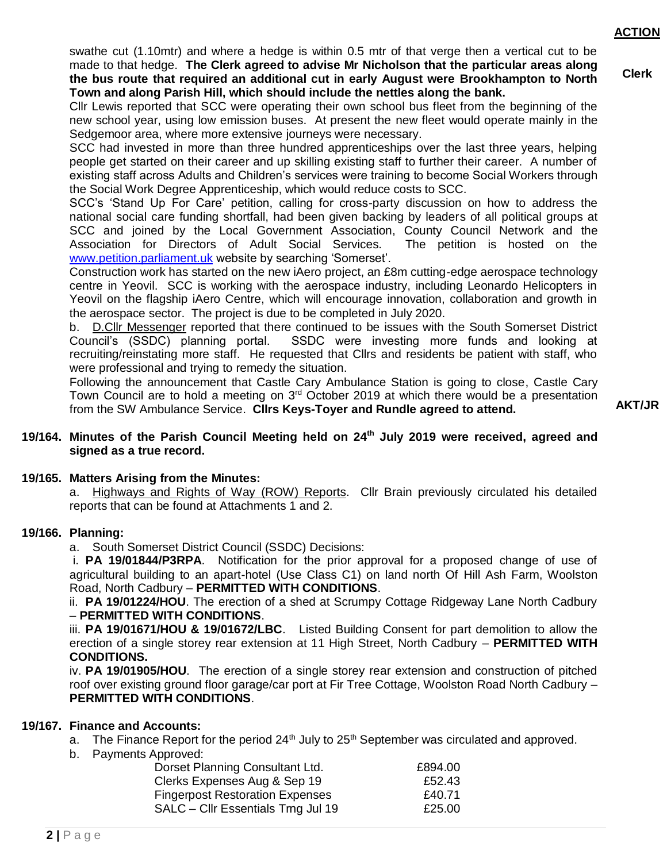**Clerk**

swathe cut (1.10mtr) and where a hedge is within 0.5 mtr of that verge then a vertical cut to be made to that hedge. **The Clerk agreed to advise Mr Nicholson that the particular areas along the bus route that required an additional cut in early August were Brookhampton to North Town and along Parish Hill, which should include the nettles along the bank.**

Cllr Lewis reported that SCC were operating their own school bus fleet from the beginning of the new school year, using low emission buses. At present the new fleet would operate mainly in the Sedgemoor area, where more extensive journeys were necessary.

SCC had invested in more than three hundred apprenticeships over the last three years, helping people get started on their career and up skilling existing staff to further their career. A number of existing staff across Adults and Children's services were training to become Social Workers through the Social Work Degree Apprenticeship, which would reduce costs to SCC.

SCC's 'Stand Up For Care' petition, calling for cross-party discussion on how to address the national social care funding shortfall, had been given backing by leaders of all political groups at SCC and joined by the Local Government Association, County Council Network and the Association for Directors of Adult Social Services. The petition is hosted on the [www.petition.parliament.uk](http://www.petition.parliament.uk/) website by searching 'Somerset'.

Construction work has started on the new iAero project, an £8m cutting-edge aerospace technology centre in Yeovil. SCC is working with the aerospace industry, including Leonardo Helicopters in Yeovil on the flagship iAero Centre, which will encourage innovation, collaboration and growth in the aerospace sector. The project is due to be completed in July 2020.

b. D.Cllr Messenger reported that there continued to be issues with the South Somerset District Council's (SSDC) planning portal. SSDC were investing more funds and looking at recruiting/reinstating more staff. He requested that Cllrs and residents be patient with staff, who were professional and trying to remedy the situation.

Following the announcement that Castle Cary Ambulance Station is going to close, Castle Cary Town Council are to hold a meeting on 3<sup>rd</sup> October 2019 at which there would be a presentation from the SW Ambulance Service. **Cllrs Keys-Toyer and Rundle agreed to attend.**

**AKT/JR**

### **19/164. Minutes of the Parish Council Meeting held on 24 th July 2019 were received, agreed and signed as a true record.**

## **19/165. Matters Arising from the Minutes:**

a. Highways and Rights of Way (ROW) Reports.Cllr Brain previously circulated his detailed reports that can be found at Attachments 1 and 2.

#### **19/166. Planning:**

a. South Somerset District Council (SSDC) Decisions:

i. **PA 19/01844/P3RPA**. Notification for the prior approval for a proposed change of use of agricultural building to an apart-hotel (Use Class C1) on land north Of Hill Ash Farm, Woolston Road, North Cadbury – **PERMITTED WITH CONDITIONS**.

ii. **PA 19/01224/HOU**. The erection of a shed at Scrumpy Cottage Ridgeway Lane North Cadbury – **PERMITTED WITH CONDITIONS**.

iii. **PA 19/01671/HOU & 19/01672/LBC**. Listed Building Consent for part demolition to allow the erection of a single storey rear extension at 11 High Street, North Cadbury – **PERMITTED WITH CONDITIONS.**

iv. **PA 19/01905/HOU**. The erection of a single storey rear extension and construction of pitched roof over existing ground floor garage/car port at Fir Tree Cottage, Woolston Road North Cadbury – **PERMITTED WITH CONDITIONS**.

## **19/167. Finance and Accounts:**

a. The Finance Report for the period  $24<sup>th</sup>$  July to  $25<sup>th</sup>$  September was circulated and approved.

b. Payments Approved:

| Dorset Planning Consultant Ltd.        | £894.00 |
|----------------------------------------|---------|
| Clerks Expenses Aug & Sep 19           | £52.43  |
| <b>Fingerpost Restoration Expenses</b> | £40.71  |
| SALC - Cllr Essentials Trng Jul 19     | £25.00  |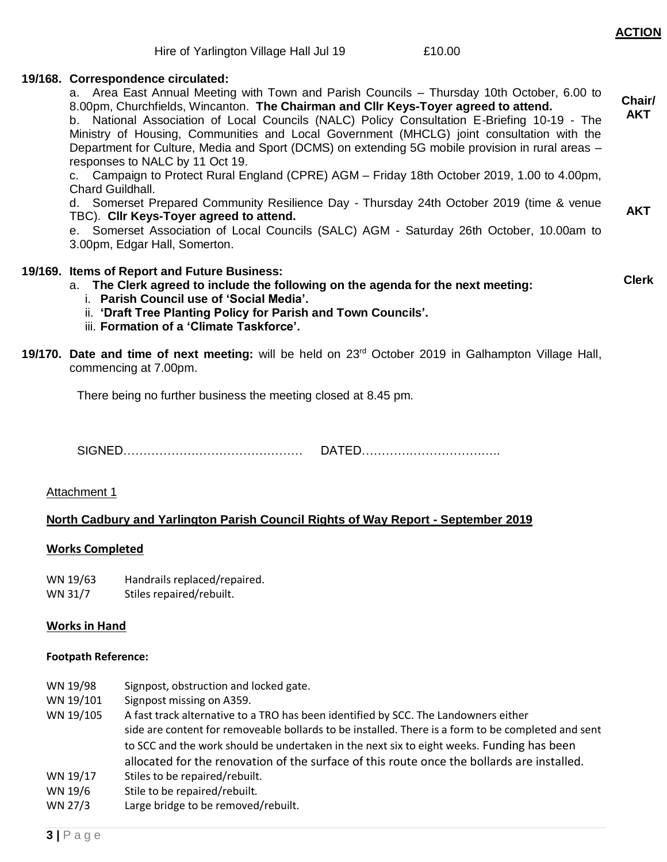#### **19/168. Correspondence circulated:**

| a. Area East Annual Meeting with Town and Parish Councils – Thursday 10th October, 6.00 to<br>8.00pm, Churchfields, Wincanton. The Chairman and Cllr Keys-Toyer agreed to attend.<br>b. National Association of Local Councils (NALC) Policy Consultation E-Briefing 10-19 - The<br>Ministry of Housing, Communities and Local Government (MHCLG) joint consultation with the<br>Department for Culture, Media and Sport (DCMS) on extending 5G mobile provision in rural areas -<br>responses to NALC by 11 Oct 19.<br>c. Campaign to Protect Rural England (CPRE) AGM – Friday 18th October 2019, 1.00 to 4.00pm,<br>Chard Guildhall. | Chair/<br><b>AKT</b> |
|-----------------------------------------------------------------------------------------------------------------------------------------------------------------------------------------------------------------------------------------------------------------------------------------------------------------------------------------------------------------------------------------------------------------------------------------------------------------------------------------------------------------------------------------------------------------------------------------------------------------------------------------|----------------------|
| d. Somerset Prepared Community Resilience Day - Thursday 24th October 2019 (time & venue<br>TBC). Cllr Keys-Toyer agreed to attend.<br>e. Somerset Association of Local Councils (SALC) AGM - Saturday 26th October, 10.00am to<br>3.00pm, Edgar Hall, Somerton.                                                                                                                                                                                                                                                                                                                                                                        | AKT                  |
| 19/169. Items of Report and Future Business:<br>a. The Clerk agreed to include the following on the agenda for the next meeting:<br>i. Parish Council use of 'Social Media'.<br>ii. 'Draft Tree Planting Policy for Parish and Town Councils'.<br>iii. Formation of a 'Climate Taskforce'.                                                                                                                                                                                                                                                                                                                                              | <b>Clerk</b>         |
| 19/170. Date and time of next meeting: will be held on $23rd$ October 2019 in Galhampton Village Hall,<br>commencing at 7.00pm.                                                                                                                                                                                                                                                                                                                                                                                                                                                                                                         |                      |

There being no further business the meeting closed at 8.45 pm.

SIGNED……………………………………… DATED……………………………..

#### Attachment 1

#### **North Cadbury and Yarlington Parish Council Rights of Way Report - September 2019**

#### **Works Completed**

| WN 19/63 | Handrails replaced/repaired. |
|----------|------------------------------|
|----------|------------------------------|

WN 31/7 Stiles repaired/rebuilt.

#### **Works in Hand**

#### **Footpath Reference:**

- WN 19/98 Signpost, obstruction and locked gate.
- WN 19/101 Signpost missing on A359.
- WN 19/105 A fast track alternative to a TRO has been identified by SCC. The Landowners either side are content for removeable bollards to be installed. There is a form to be completed and sent to SCC and the work should be undertaken in the next six to eight weeks. Funding has been allocated for the renovation of the surface of this route once the bollards are installed.
- WN 19/17 Stiles to be repaired/rebuilt.
- WN 19/6 Stile to be repaired/rebuilt.
- WN 27/3 Large bridge to be removed/rebuilt.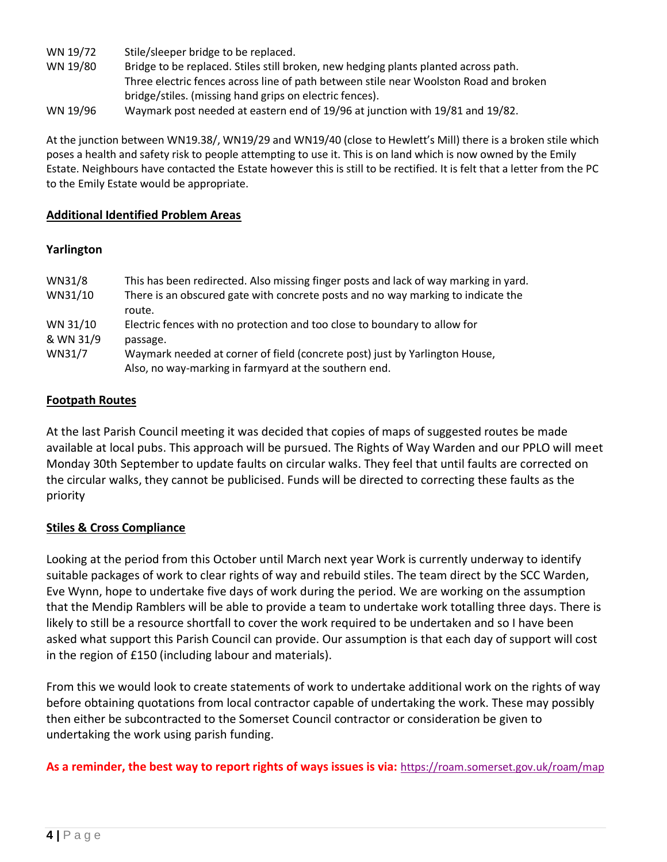- WN 19/72 Stile/sleeper bridge to be replaced.
- WN 19/80 Bridge to be replaced. Stiles still broken, new hedging plants planted across path. Three electric fences across line of path between stile near Woolston Road and broken bridge/stiles. (missing hand grips on electric fences).
- WN 19/96 Waymark post needed at eastern end of 19/96 at junction with 19/81 and 19/82.

At the junction between WN19.38/, WN19/29 and WN19/40 (close to Hewlett's Mill) there is a broken stile which poses a health and safety risk to people attempting to use it. This is on land which is now owned by the Emily Estate. Neighbours have contacted the Estate however this is still to be rectified. It is felt that a letter from the PC to the Emily Estate would be appropriate.

## **Additional Identified Problem Areas**

# **Yarlington**

| WN31/8    | This has been redirected. Also missing finger posts and lack of way marking in yard. |
|-----------|--------------------------------------------------------------------------------------|
| WN31/10   | There is an obscured gate with concrete posts and no way marking to indicate the     |
|           | route.                                                                               |
| WN 31/10  | Electric fences with no protection and too close to boundary to allow for            |
| & WN 31/9 | passage.                                                                             |
| WN31/7    | Waymark needed at corner of field (concrete post) just by Yarlington House,          |
|           | Also, no way-marking in farmyard at the southern end.                                |

# **Footpath Routes**

At the last Parish Council meeting it was decided that copies of maps of suggested routes be made available at local pubs. This approach will be pursued. The Rights of Way Warden and our PPLO will meet Monday 30th September to update faults on circular walks. They feel that until faults are corrected on the circular walks, they cannot be publicised. Funds will be directed to correcting these faults as the priority

# **Stiles & Cross Compliance**

Looking at the period from this October until March next year Work is currently underway to identify suitable packages of work to clear rights of way and rebuild stiles. The team direct by the SCC Warden, Eve Wynn, hope to undertake five days of work during the period. We are working on the assumption that the Mendip Ramblers will be able to provide a team to undertake work totalling three days. There is likely to still be a resource shortfall to cover the work required to be undertaken and so I have been asked what support this Parish Council can provide. Our assumption is that each day of support will cost in the region of £150 (including labour and materials).

From this we would look to create statements of work to undertake additional work on the rights of way before obtaining quotations from local contractor capable of undertaking the work. These may possibly then either be subcontracted to the Somerset Council contractor or consideration be given to undertaking the work using parish funding.

**As a reminder, the best way to report rights of ways issues is via:** <https://roam.somerset.gov.uk/roam/map>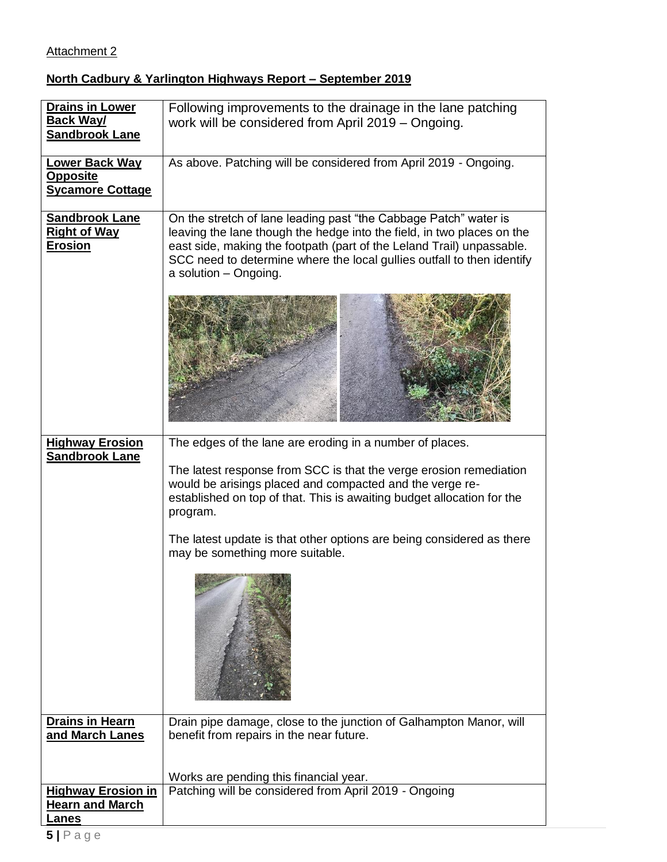# Attachment 2

# **North Cadbury & Yarlington Highways Report – September 2019**

| <b>Drains in Lower</b><br><b>Back Way/</b><br><b>Sandbrook Lane</b> | Following improvements to the drainage in the lane patching<br>work will be considered from April 2019 - Ongoing.                                                                                                                                                                                                      |
|---------------------------------------------------------------------|------------------------------------------------------------------------------------------------------------------------------------------------------------------------------------------------------------------------------------------------------------------------------------------------------------------------|
| <b>Lower Back Way</b><br><b>Opposite</b><br><b>Sycamore Cottage</b> | As above. Patching will be considered from April 2019 - Ongoing.                                                                                                                                                                                                                                                       |
| Sandbrook Lane<br><b>Right of Way</b><br><b>Erosion</b>             | On the stretch of lane leading past "the Cabbage Patch" water is<br>leaving the lane though the hedge into the field, in two places on the<br>east side, making the footpath (part of the Leland Trail) unpassable.<br>SCC need to determine where the local gullies outfall to then identify<br>a solution - Ongoing. |
|                                                                     |                                                                                                                                                                                                                                                                                                                        |
| <b>Highway Erosion</b><br><b>Sandbrook Lane</b>                     | The edges of the lane are eroding in a number of places.<br>The latest response from SCC is that the verge erosion remediation<br>would be arisings placed and compacted and the verge re-<br>established on top of that. This is awaiting budget allocation for the<br>program.                                       |
|                                                                     | The latest update is that other options are being considered as there<br>may be something more suitable.                                                                                                                                                                                                               |
|                                                                     |                                                                                                                                                                                                                                                                                                                        |
| <b>Drains in Hearn</b><br>and March Lanes                           | Drain pipe damage, close to the junction of Galhampton Manor, will<br>benefit from repairs in the near future.                                                                                                                                                                                                         |
|                                                                     | Works are pending this financial year.                                                                                                                                                                                                                                                                                 |
| <b>Highway Erosion in</b>                                           | Patching will be considered from April 2019 - Ongoing                                                                                                                                                                                                                                                                  |
| <b>Hearn and March</b><br>.anes                                     |                                                                                                                                                                                                                                                                                                                        |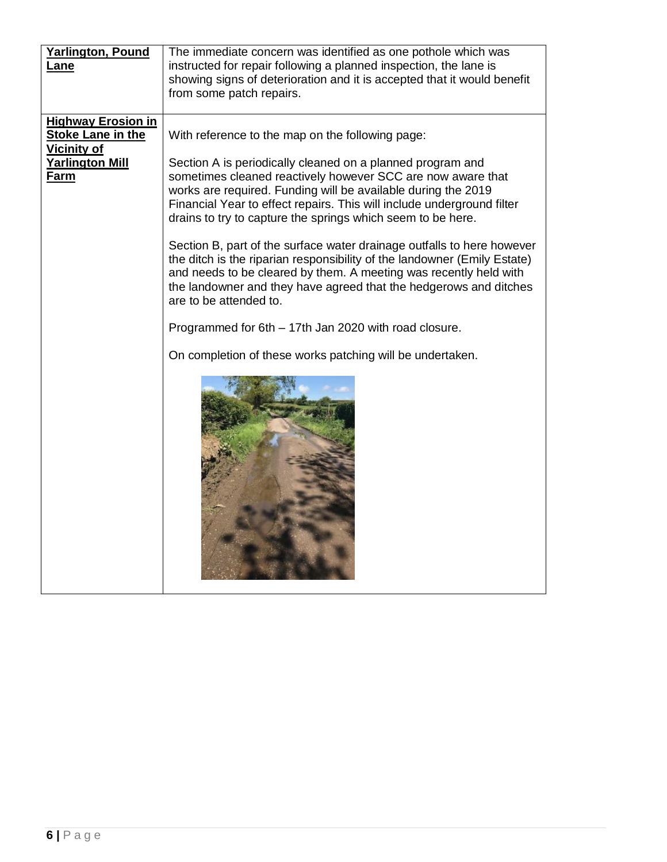| <b>Yarlington, Pound</b>  | The immediate concern was identified as one pothole which was            |
|---------------------------|--------------------------------------------------------------------------|
| <u>Lane</u>               | instructed for repair following a planned inspection, the lane is        |
|                           | showing signs of deterioration and it is accepted that it would benefit  |
|                           | from some patch repairs.                                                 |
|                           |                                                                          |
| <b>Highway Erosion in</b> |                                                                          |
| <b>Stoke Lane in the</b>  | With reference to the map on the following page:                         |
| <b>Vicinity of</b>        |                                                                          |
| <b>Yarlington Mill</b>    | Section A is periodically cleaned on a planned program and               |
| <b>Farm</b>               | sometimes cleaned reactively however SCC are now aware that              |
|                           | works are required. Funding will be available during the 2019            |
|                           | Financial Year to effect repairs. This will include underground filter   |
|                           | drains to try to capture the springs which seem to be here.              |
|                           | Section B, part of the surface water drainage outfalls to here however   |
|                           | the ditch is the riparian responsibility of the landowner (Emily Estate) |
|                           | and needs to be cleared by them. A meeting was recently held with        |
|                           | the landowner and they have agreed that the hedgerows and ditches        |
|                           | are to be attended to.                                                   |
|                           |                                                                          |
|                           | Programmed for 6th - 17th Jan 2020 with road closure.                    |
|                           |                                                                          |
|                           | On completion of these works patching will be undertaken.                |
|                           |                                                                          |